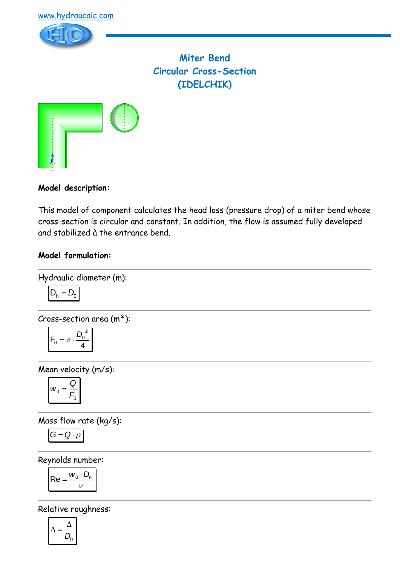



**Miter Bend Circular Cross-Section (IDELCHIK)**



### **Model description:**

This model of component calculates the head loss (pressure drop) of a miter bend whose cross-section is circular and constant. In addition, the flow is assumed fully developed and stabilized à the entrance bend.

#### **Model formulation:**



$$
D_h=D_0
$$

Cross-section area  $(m<sup>2</sup>)$ :

$$
F_0=\pi\cdot\frac{{D_0}^2}{4}
$$

Mean velocity (m/s):

$$
W_0 = \frac{Q}{F_0}
$$

Mass flow rate (kg/s):

$$
G=Q\cdot \rho
$$

Reynolds number:

$$
\mathsf{Re} = \frac{w_0 \cdot D_h}{v}
$$

Relative roughness:

$$
\overline{\Delta}=\frac{\Delta}{D_0}
$$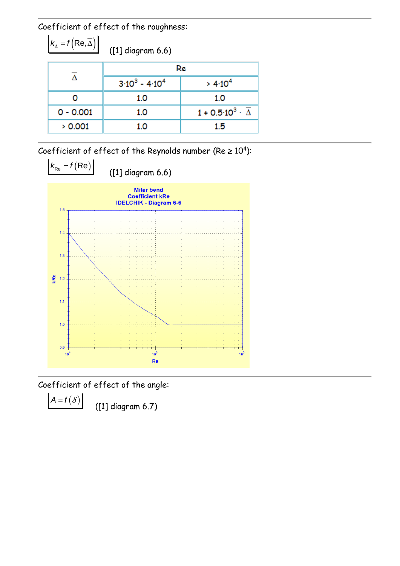Coefficient of effect of the roughness:

 $k_{\Delta} = f\left(\overline{\text{Re}, \Delta}\right)$ 

([1] diagram 6.6)

|             | Re                            |                                              |
|-------------|-------------------------------|----------------------------------------------|
|             | $3 \cdot 10^3 - 4 \cdot 10^4$ | > 4.10 <sup>4</sup>                          |
|             | 1.0                           | 1.0                                          |
| $0 - 0.001$ | 1.0                           | $1 + 0.5 \cdot 10^3 \cdot \overline{\Delta}$ |
| > 0.001     | 1.0                           | 1.5                                          |

Coefficient of effect of the Reynolds number (Re  $\geq 10^4$ ):



Coefficient of effect of the angle:

 $A = f(\delta)$ 

([1] diagram 6.7)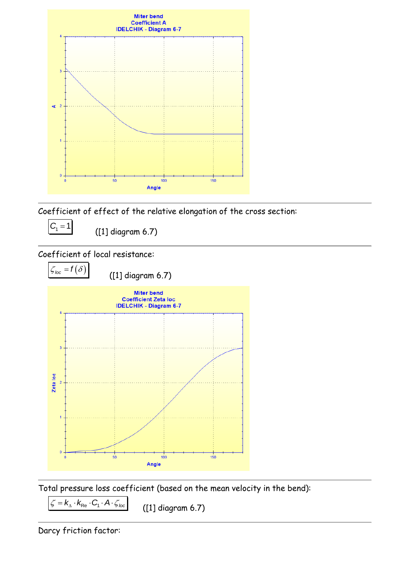

Coefficient of effect of the relative elongation of the cross section:

 $C_1 = 1$ 

([1] diagram 6.7)

## Coefficient of local resistance:



Total pressure loss coefficient (based on the mean velocity in the bend):

 $\overline{\zeta} = k_{\text{A}} \cdot k_{\text{Re}} \cdot C_1 \cdot A \cdot \zeta_{\text{loc}}$ 

([1] diagram 6.7)

Darcy friction factor: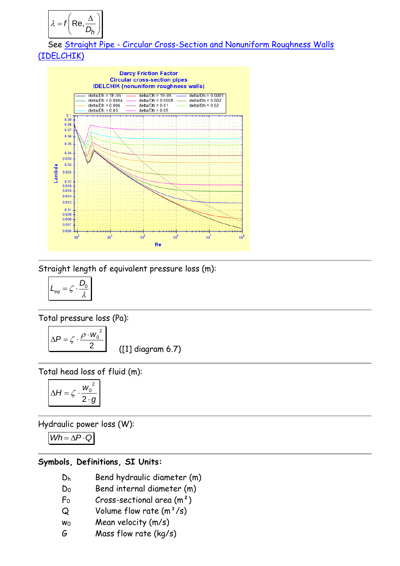$$
\lambda = f\left(\text{Re}, \frac{\Delta}{D_h}\right)
$$

 See Straight Pipe - [Circular Cross-Section and Nonuniform Roughness Walls](file:///G:/HydrauCalc/Aide%20-%20CHM/Sources%20doc/Composants/Tuyau%20rectiligne/Tuyau%20rectiligne%20-%20Section%20circulaire/IDELCHIK%20(nonuniform%20roughness%20walls).htm)  [\(IDELCHIK\)](file:///G:/HydrauCalc/Aide%20-%20CHM/Sources%20doc/Composants/Tuyau%20rectiligne/Tuyau%20rectiligne%20-%20Section%20circulaire/IDELCHIK%20(nonuniform%20roughness%20walls).htm)



Straight length of equivalent pressure loss (m):

$$
L_{eq} = \zeta \cdot \frac{D_0}{\lambda}
$$

Total pressure loss (Pa):

$$
\Delta P = \zeta \cdot \frac{\rho \cdot w_0^2}{2}
$$

([1] diagram 6.7)

Total head loss of fluid (m):

$$
\Delta H = \zeta \cdot \frac{w_0^2}{2 \cdot g}
$$

Hydraulic power loss (W):

$$
Wh = \Delta P \cdot Q
$$

#### **Symbols, Definitions, SI Units:**

- D<sup>h</sup> Bend hydraulic diameter (m)
- D<sub>0</sub> Bend internal diameter (m)
- $F_0$  Cross-sectional area  $(m^2)$
- $Q$  Volume flow rate  $(m^3/s)$
- w<sup>0</sup> Mean velocity (m/s)
- G Mass flow rate (kg/s)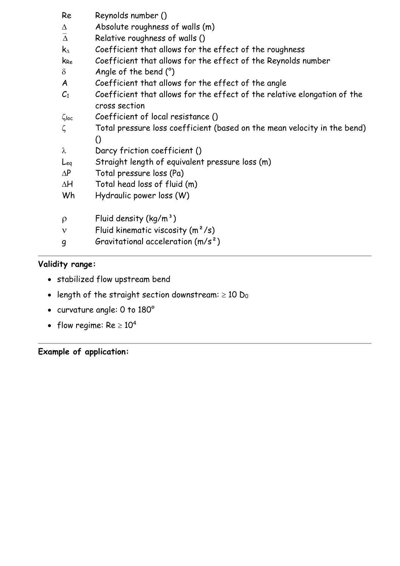| Re                                        | Reynolds number ()                                                                        |
|-------------------------------------------|-------------------------------------------------------------------------------------------|
| Δ                                         | Absolute roughness of walls (m)                                                           |
| $\overline{\Lambda}$                      | Relative roughness of walls ()                                                            |
| $\mathsf{k}_{\scriptscriptstyle{\Delta}}$ | Coefficient that allows for the effect of the roughness                                   |
| k <sub>Re</sub>                           | Coefficient that allows for the effect of the Reynolds number                             |
| $\delta$                                  | Angle of the bend $(°)$                                                                   |
| A                                         | Coefficient that allows for the effect of the angle                                       |
| $C_1$                                     | Coefficient that allows for the effect of the relative elongation of the<br>cross section |
| $\zeta$ loc                               | Coefficient of local resistance ()                                                        |
| ζ                                         | Total pressure loss coefficient (based on the mean velocity in the bend)                  |
|                                           | $\Omega$                                                                                  |
| $\lambda$                                 | Darcy friction coefficient ()                                                             |
| Leg                                       | Straight length of equivalent pressure loss (m)                                           |
| $\Delta P$                                | Total pressure loss (Pa)                                                                  |
| ΔH                                        | Total head loss of fluid (m)                                                              |
| Wh                                        | Hydraulic power loss (W)                                                                  |
|                                           |                                                                                           |
| $\rho$                                    | Fluid density $(kg/m^3)$                                                                  |
| $\mathsf{v}$                              | Fluid kinematic viscosity $(m^2/s)$                                                       |
| 9                                         | Gravitational acceleration $(m/s^2)$                                                      |
|                                           |                                                                                           |

# **Validity range:**

- stabilized flow upstream bend
- length of the straight section downstream:  $\geq 10$  D<sub>0</sub>
- curvature angle: 0 to 180°
- flow regime:  $Re \ge 10^4$

**Example of application:**